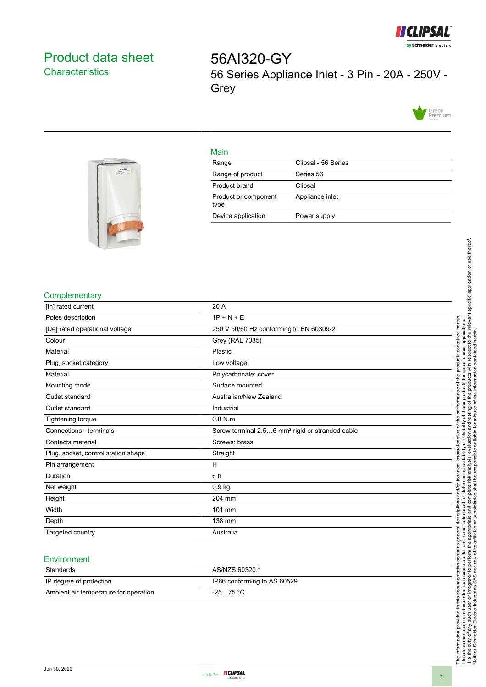

# <span id="page-0-0"></span>Product data sheet **Characteristics**

56AI320-GY 56 Series Appliance Inlet - 3 Pin - 20A - 250V - **Grey** 





#### Main

| Range                        | Clipsal - 56 Series |
|------------------------------|---------------------|
| Range of product             | Series 56           |
| Product brand                | Clipsal             |
| Product or component<br>type | Appliance inlet     |
| Device application           | Power supply        |

#### **Complementary**

| [In] rated current                  | 20 A                                                        |
|-------------------------------------|-------------------------------------------------------------|
| Poles description                   | $1P + N + E$                                                |
| [Ue] rated operational voltage      | 250 V 50/60 Hz conforming to EN 60309-2                     |
| Colour                              | Grey (RAL 7035)                                             |
| Material                            | Plastic                                                     |
| Plug, socket category               | Low voltage                                                 |
| Material                            | Polycarbonate: cover                                        |
| Mounting mode                       | Surface mounted                                             |
| Outlet standard                     | Australian/New Zealand                                      |
| Outlet standard                     | Industrial                                                  |
| <b>Tightening torque</b>            | $0.8$ N.m                                                   |
| Connections - terminals             | Screw terminal 2.56 mm <sup>2</sup> rigid or stranded cable |
| Contacts material                   | Screws: brass                                               |
| Plug, socket, control station shape | Straight                                                    |
| Pin arrangement                     | н                                                           |
| Duration                            | 6h                                                          |
| Net weight                          | $0.9$ kg                                                    |
| Height                              | 204 mm                                                      |
| Width                               | 101 mm                                                      |
| Depth                               | 138 mm                                                      |
| Targeted country                    | Australia                                                   |

### **Environment**

| Standards                             | AS/NZS 60320.1              |
|---------------------------------------|-----------------------------|
| IP degree of protection               | IP66 conforming to AS 60529 |
| Ambient air temperature for operation | $-2575 °C$                  |